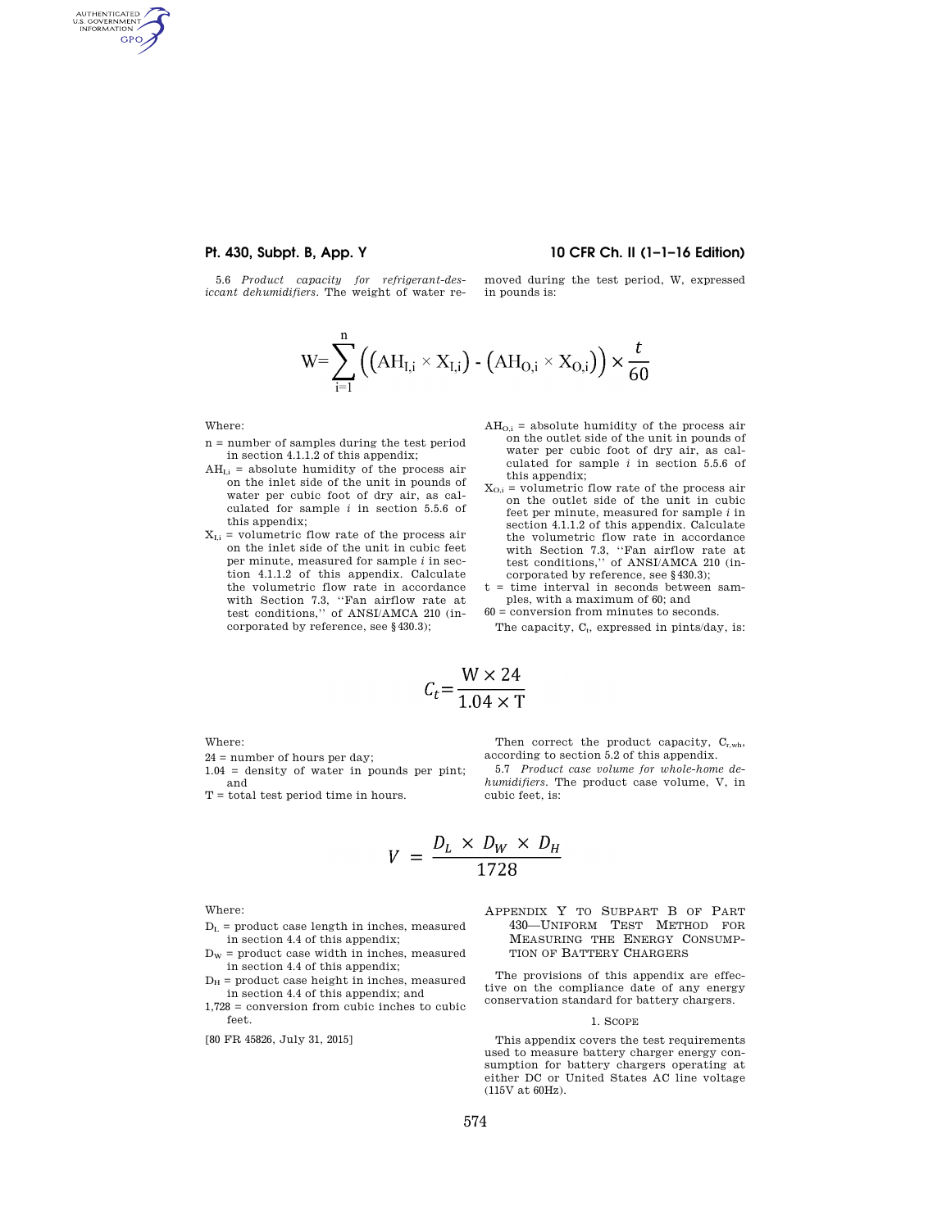# **Pt. 430, Subpt. B, App. Y 10 CFR Ch. II (1–1–16 Edition)**

5.6 *Product capacity for refrigerant-desiccant dehumidifiers.* The weight of water removed during the test period, W, expressed in pounds is:

$$
W = \sum_{i=1}^{n} ((AH_{I,i} \times X_{I,i}) - (AH_{O,i} \times X_{O,i})) \times \frac{t}{60}
$$

Where:

AUTHENTICATED<br>U.S. GOVERNMENT<br>INFORMATION **GPO** 

- n = number of samples during the test period in section 4.1.1.2 of this appendix;
- $AH<sub>I,i</sub>$  = absolute humidity of the process air on the inlet side of the unit in pounds of water per cubic foot of dry air, as calculated for sample *i* in section 5.5.6 of this appendix;
- $X_{I,i}$  = volumetric flow rate of the process air on the inlet side of the unit in cubic feet per minute, measured for sample *i* in section 4.1.1.2 of this appendix. Calculate the volumetric flow rate in accordance with Section 7.3, ''Fan airflow rate at test conditions,'' of ANSI/AMCA 210 (incorporated by reference, see §430.3);
- $AH<sub>O,i</sub>$  = absolute humidity of the process air on the outlet side of the unit in pounds of water per cubic foot of dry air, as calculated for sample *i* in section 5.5.6 of this appendix;
- $\mathbf{X}_{\text{O},i}$  = volumetric flow rate of the process air on the outlet side of the unit in cubic feet per minute, measured for sample *i* in section 4.1.1.2 of this appendix. Calculate the volumetric flow rate in accordance with Section 7.3, ''Fan airflow rate at test conditions,'' of ANSI/AMCA 210 (incorporated by reference, see §430.3);
- t = time interval in seconds between samples, with a maximum of 60; and
- 60 = conversion from minutes to seconds.

The capacity,  $C_t$ , expressed in pints/day, is:

$$
C_t = \frac{W \times 24}{1.04 \times T}
$$

Where:

24 = number of hours per day;

1.04 = density of water in pounds per pint; and

T = total test period time in hours.

Then correct the product capacity,  $C_{r,wh}$ , according to section 5.2 of this appendix.

5.7 *Product case volume for whole-home dehumidifiers.* The product case volume, V, in cubic feet, is:

$$
V = \frac{D_L \times D_W \times D_H}{1728}
$$

Where:

- $D_L$  = product case length in inches, measured in section 4.4 of this appendix;
- $\mathbf{D}_\mathrm{W}$  = product case width in inches, measured in section 4.4 of this appendix;
- $\mathrm{D}_{\mathrm{H}}$  = product case height in inches, measured in section 4.4 of this appendix; and
- 1,728 = conversion from cubic inches to cubic feet.

[80 FR 45826, July 31, 2015]

# APPENDIX Y TO SUBPART B OF PART 430—UNIFORM TEST METHOD FOR MEASURING THE ENERGY CONSUMP-TION OF BATTERY CHARGERS

The provisions of this appendix are effective on the compliance date of any energy conservation standard for battery chargers.

# 1. SCOPE

This appendix covers the test requirements used to measure battery charger energy consumption for battery chargers operating at either DC or United States AC line voltage (115V at 60Hz).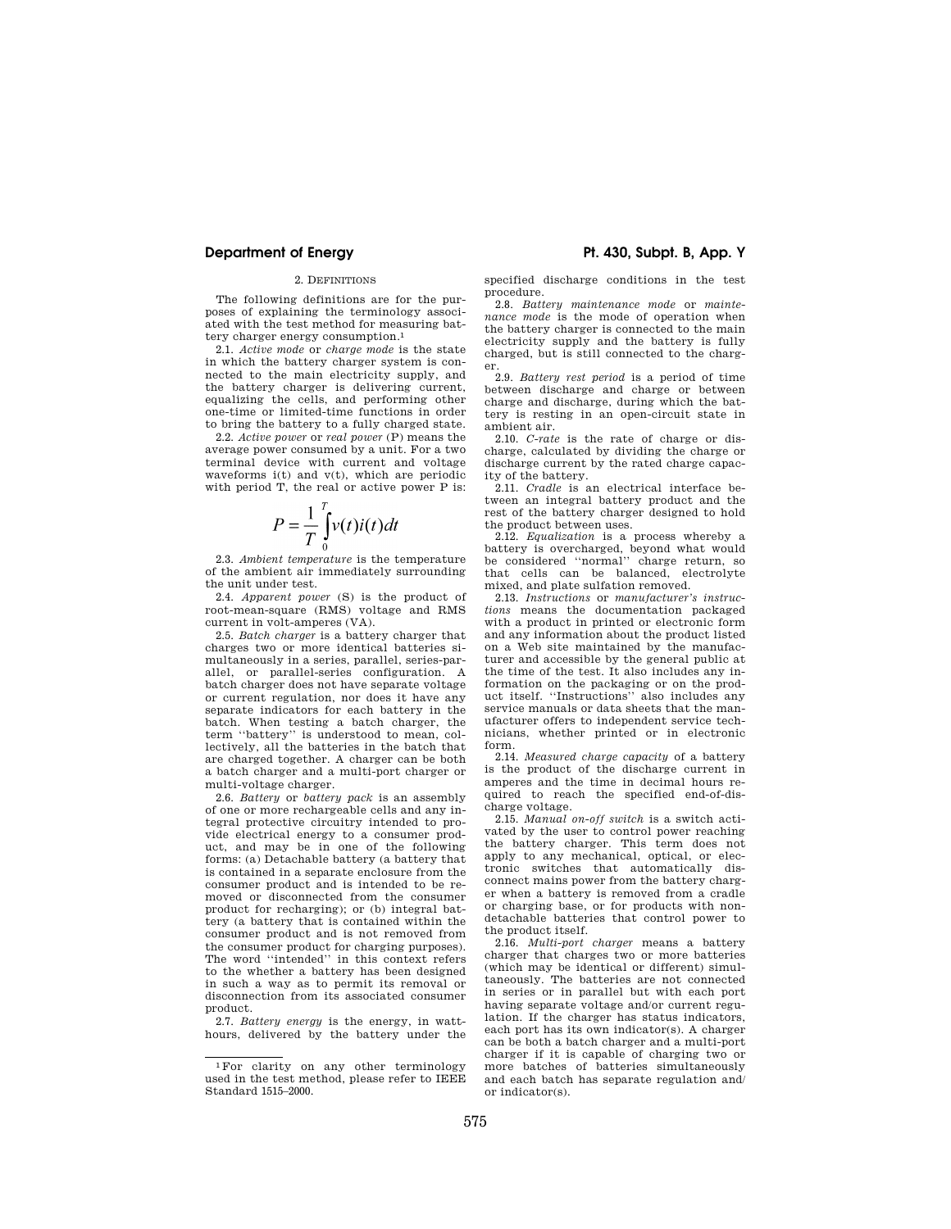# 2. DEFINITIONS

The following definitions are for the purposes of explaining the terminology associated with the test method for measuring battery charger energy consumption.<sup>1</sup>

2.1. *Active mode* or *charge mode* is the state in which the battery charger system is connected to the main electricity supply, and the battery charger is delivering current, equalizing the cells, and performing other one-time or limited-time functions in order to bring the battery to a fully charged state.

2.2. *Active power* or *real power* (P) means the average power consumed by a unit. For a two terminal device with current and voltage waveforms  $i(t)$  and  $v(t)$ , which are periodic with period T, the real or active power P is:

$$
P = \frac{1}{T} \int_{0}^{T} v(t) i(t) dt
$$

2.3. *Ambient temperature* is the temperature of the ambient air immediately surrounding the unit under test.

2.4. *Apparent power* (S) is the product of root-mean-square (RMS) voltage and RMS current in volt-amperes (VA).

2.5. *Batch charger* is a battery charger that charges two or more identical batteries simultaneously in a series, parallel, series-parallel, or parallel-series configuration. A batch charger does not have separate voltage or current regulation, nor does it have any separate indicators for each battery in the batch. When testing a batch charger, the term ''battery'' is understood to mean, collectively, all the batteries in the batch that are charged together. A charger can be both a batch charger and a multi-port charger or multi-voltage charger.

2.6. *Battery* or *battery pack* is an assembly of one or more rechargeable cells and any integral protective circuitry intended to provide electrical energy to a consumer product, and may be in one of the following forms: (a) Detachable battery (a battery that is contained in a separate enclosure from the consumer product and is intended to be removed or disconnected from the consumer product for recharging); or (b) integral battery (a battery that is contained within the consumer product and is not removed from the consumer product for charging purposes). The word "intended" in this context refers to the whether a battery has been designed in such a way as to permit its removal or disconnection from its associated consumer product.

2.7. *Battery energy* is the energy, in watthours, delivered by the battery under the

# **Department of Energy Pt. 430, Subpt. B, App. Y**

specified discharge conditions in the test procedure.

2.8. *Battery maintenance mode* or *maintenance mode* is the mode of operation when the battery charger is connected to the main electricity supply and the battery is fully charged, but is still connected to the charger.

2.9. *Battery rest period* is a period of time between discharge and charge or between charge and discharge, during which the battery is resting in an open-circuit state in ambient air.

2.10. *C-rate* is the rate of charge or discharge, calculated by dividing the charge or discharge current by the rated charge capacity of the battery.

2.11. *Cradle* is an electrical interface between an integral battery product and the rest of the battery charger designed to hold the product between uses.

2.12. *Equalization* is a process whereby a battery is overcharged, beyond what would be considered ''normal'' charge return, so that cells can be balanced, electrolyte mixed, and plate sulfation removed.

2.13. *Instructions* or *manufacturer's instructions* means the documentation packaged with a product in printed or electronic form and any information about the product listed on a Web site maintained by the manufacturer and accessible by the general public at the time of the test. It also includes any information on the packaging or on the product itself. ''Instructions'' also includes any service manuals or data sheets that the manufacturer offers to independent service technicians, whether printed or in electronic form.

2.14. *Measured charge capacity* of a battery is the product of the discharge current in amperes and the time in decimal hours required to reach the specified end-of-discharge voltage.

2.15. *Manual on-off switch* is a switch activated by the user to control power reaching the battery charger. This term does not apply to any mechanical, optical, or electronic switches that automatically disconnect mains power from the battery charger when a battery is removed from a cradle or charging base, or for products with nondetachable batteries that control power to the product itself.

2.16. *Multi-port charger* means a battery charger that charges two or more batteries (which may be identical or different) simultaneously. The batteries are not connected in series or in parallel but with each port having separate voltage and/or current regulation. If the charger has status indicators, each port has its own indicator(s). A charger can be both a batch charger and a multi-port charger if it is capable of charging two or more batches of batteries simultaneously and each batch has separate regulation and/ or indicator(s).

<sup>1</sup>For clarity on any other terminology used in the test method, please refer to IEEE Standard 1515–2000.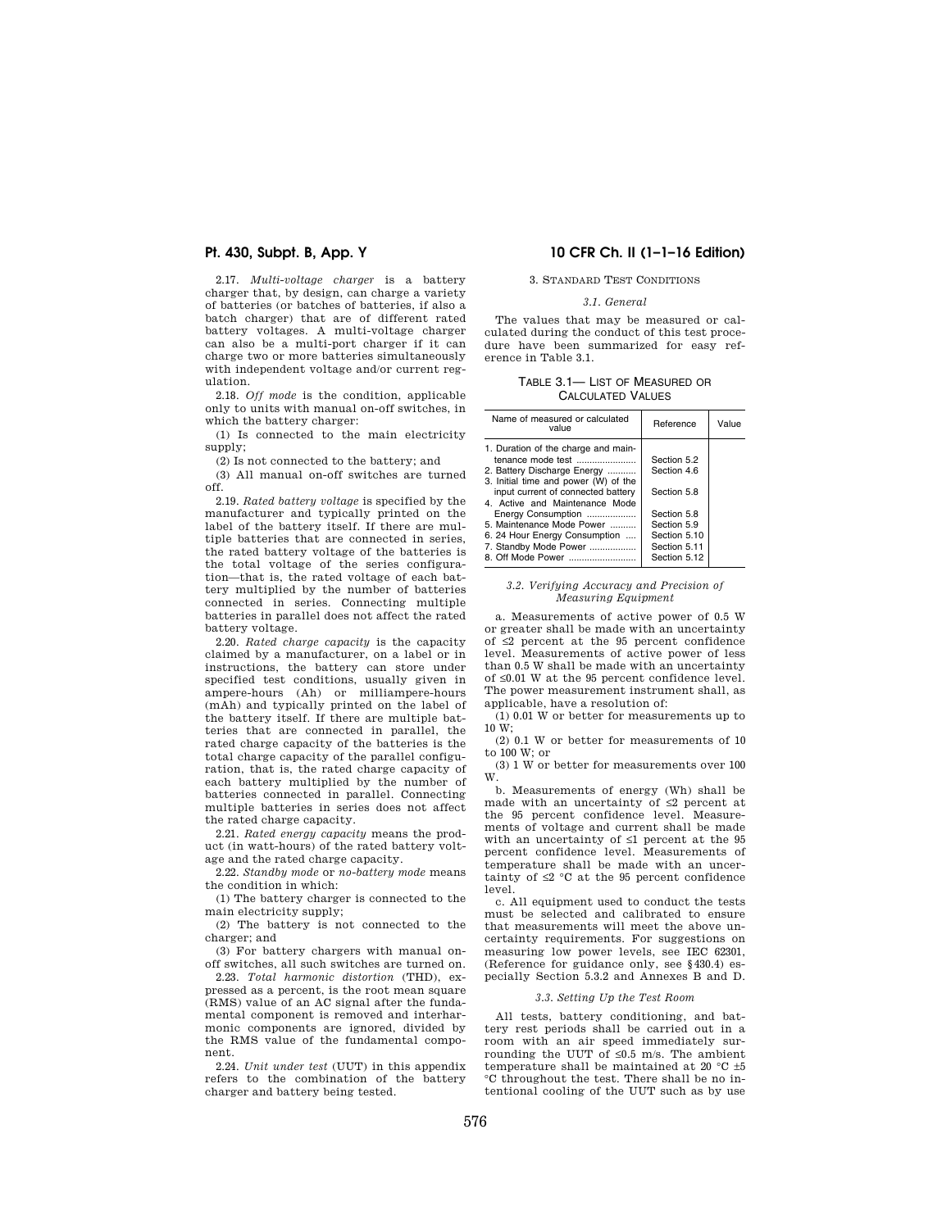2.17. *Multi-voltage charger* is a battery charger that, by design, can charge a variety of batteries (or batches of batteries, if also a batch charger) that are of different rated battery voltages. A multi-voltage charger can also be a multi-port charger if it can charge two or more batteries simultaneously with independent voltage and/or current regulation.

2.18. *Off mode* is the condition, applicable only to units with manual on-off switches, in which the battery charger:

(1) Is connected to the main electricity supply;

(2) Is not connected to the battery; and

(3) All manual on-off switches are turned off.

2.19. *Rated battery voltage* is specified by the manufacturer and typically printed on the label of the battery itself. If there are multiple batteries that are connected in series, the rated battery voltage of the batteries is the total voltage of the series configuration—that is, the rated voltage of each battery multiplied by the number of batteries connected in series. Connecting multiple batteries in parallel does not affect the rated battery voltage.

2.20. *Rated charge capacity* is the capacity claimed by a manufacturer, on a label or in instructions, the battery can store under specified test conditions, usually given in ampere-hours (Ah) or milliampere-hours (mAh) and typically printed on the label of the battery itself. If there are multiple batteries that are connected in parallel, the rated charge capacity of the batteries is the total charge capacity of the parallel configuration, that is, the rated charge capacity of each battery multiplied by the number of batteries connected in parallel. Connecting multiple batteries in series does not affect the rated charge capacity.

2.21. *Rated energy capacity* means the product (in watt-hours) of the rated battery voltage and the rated charge capacity.

2.22. *Standby mode* or *no-battery mode* means the condition in which:

(1) The battery charger is connected to the main electricity supply;

(2) The battery is not connected to the charger; and

(3) For battery chargers with manual onoff switches, all such switches are turned on.

2.23. *Total harmonic distortion* (THD), expressed as a percent, is the root mean square (RMS) value of an AC signal after the fundamental component is removed and interharmonic components are ignored, divided by the RMS value of the fundamental component.

2.24. *Unit under test* (UUT) in this appendix refers to the combination of the battery charger and battery being tested.

# **Pt. 430, Subpt. B, App. Y 10 CFR Ch. II (1–1–16 Edition)**

# 3. STANDARD TEST CONDITIONS

# *3.1. General*

The values that may be measured or calculated during the conduct of this test procedure have been summarized for easy reference in Table 3.1.

TABLE 3.1— LIST OF MEASURED OR CALCULATED VALUES

| Name of measured or calculated<br>value | Reference    | Value |
|-----------------------------------------|--------------|-------|
| 1. Duration of the charge and main-     |              |       |
| tenance mode test                       | Section 5.2  |       |
| 2. Battery Discharge Energy             | Section 4.6  |       |
| 3. Initial time and power (W) of the    |              |       |
| input current of connected battery      | Section 5.8  |       |
| 4. Active and Maintenance Mode          |              |       |
| Energy Consumption                      | Section 5.8  |       |
| 5. Maintenance Mode Power               | Section 5.9  |       |
| 6. 24 Hour Energy Consumption           | Section 5.10 |       |
| 7. Standby Mode Power                   | Section 5.11 |       |
| 8. Off Mode Power                       | Section 5.12 |       |
|                                         |              |       |

## *3.2. Verifying Accuracy and Precision of Measuring Equipment*

a. Measurements of active power of 0.5 W or greater shall be made with an uncertainty of ≤2 percent at the 95 percent confidence level. Measurements of active power of less than 0.5 W shall be made with an uncertainty of ≤0.01 W at the 95 percent confidence level. The power measurement instrument shall, as applicable, have a resolution of:

(1) 0.01 W or better for measurements up to 10 W;

(2) 0.1 W or better for measurements of 10 to 100 W; or

(3) 1 W or better for measurements over 100 W.

b. Measurements of energy (Wh) shall be made with an uncertainty of ≤2 percent at the 95 percent confidence level. Measurements of voltage and current shall be made with an uncertainty of ≤1 percent at the 95 percent confidence level. Measurements of temperature shall be made with an uncertainty of  $\leq 2$  °C at the 95 percent confidence level.

c. All equipment used to conduct the tests must be selected and calibrated to ensure that measurements will meet the above uncertainty requirements. For suggestions on measuring low power levels, see IEC 62301, (Reference for guidance only, see §430.4) especially Section 5.3.2 and Annexes B and D.

# *3.3. Setting Up the Test Room*

All tests, battery conditioning, and battery rest periods shall be carried out in a room with an air speed immediately surrounding the UUT of  $\leq 0.5$  m/s. The ambient temperature shall be maintained at 20  $°C$   $+5$ °C throughout the test. There shall be no intentional cooling of the UUT such as by use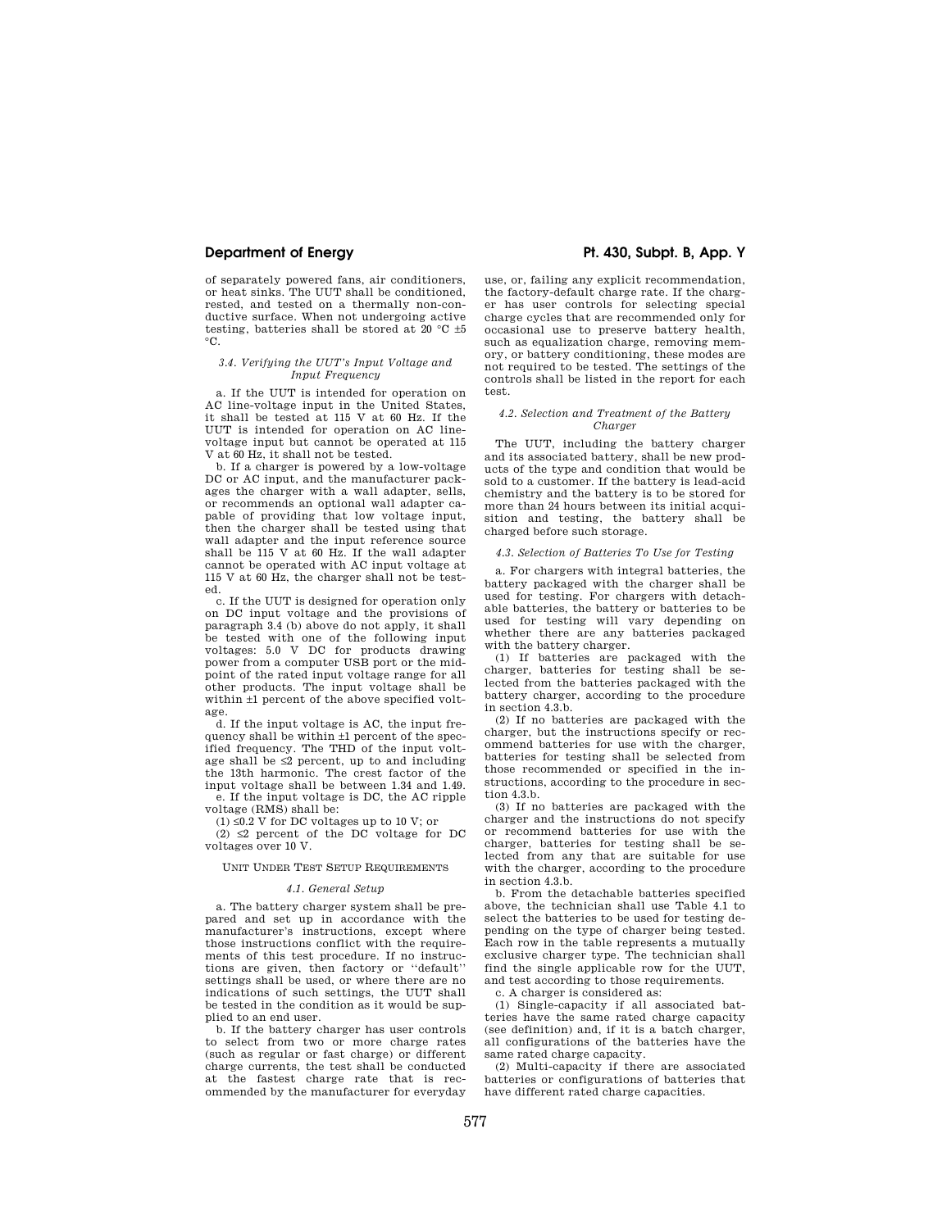of separately powered fans, air conditioners, or heat sinks. The UUT shall be conditioned, rested, and tested on a thermally non-conductive surface. When not undergoing active testing, batteries shall be stored at 20  $\degree$ C  $\pm$ 5  $^{\circ}$ C.

# *3.4. Verifying the UUT's Input Voltage and Input Frequency*

a. If the UUT is intended for operation on AC line-voltage input in the United States, it shall be tested at 115 V at 60 Hz. If the UUT is intended for operation on AC linevoltage input but cannot be operated at 115 V at  $60$  Hz, it shall not be tested.

b. If a charger is powered by a low-voltage DC or AC input, and the manufacturer packages the charger with a wall adapter, sells, or recommends an optional wall adapter capable of providing that low voltage input, then the charger shall be tested using that wall adapter and the input reference source shall be 115 V at 60 Hz. If the wall adapter cannot be operated with AC input voltage at 115 V at 60 Hz, the charger shall not be tested.

c. If the UUT is designed for operation only on DC input voltage and the provisions of paragraph 3.4 (b) above do not apply, it shall be tested with one of the following input voltages: 5.0 V DC for products drawing power from a computer USB port or the midpoint of the rated input voltage range for all other products. The input voltage shall be within ±1 percent of the above specified voltage.

d. If the input voltage is AC, the input frequency shall be within ±1 percent of the specified frequency. The THD of the input voltage shall be ≤2 percent, up to and including the 13th harmonic. The crest factor of the input voltage shall be between 1.34 and 1.49. e. If the input voltage is DC, the AC ripple

voltage (RMS) shall be:

(1) ≤0.2 V for DC voltages up to 10 V: or (2)  $\leq$ 2 percent of the DC voltage for DC voltages over 10 V.

UNIT UNDER TEST SETUP REQUIREMENTS

# *4.1. General Setup*

a. The battery charger system shall be prepared and set up in accordance with the manufacturer's instructions, except where those instructions conflict with the requirements of this test procedure. If no instructions are given, then factory or ''default'' settings shall be used, or where there are no indications of such settings, the UUT shall be tested in the condition as it would be supplied to an end user.

b. If the battery charger has user controls to select from two or more charge rates (such as regular or fast charge) or different charge currents, the test shall be conducted at the fastest charge rate that is recommended by the manufacturer for everyday

**Department of Energy Pt. 430, Subpt. B, App. Y** 

use, or, failing any explicit recommendation, the factory-default charge rate. If the charger has user controls for selecting special charge cycles that are recommended only for occasional use to preserve battery health, such as equalization charge, removing memory, or battery conditioning, these modes are not required to be tested. The settings of the controls shall be listed in the report for each test.

## *4.2. Selection and Treatment of the Battery Charger*

The UUT, including the battery charger and its associated battery, shall be new products of the type and condition that would be sold to a customer. If the battery is lead-acid chemistry and the battery is to be stored for more than 24 hours between its initial acquisition and testing, the battery shall be charged before such storage.

# *4.3. Selection of Batteries To Use for Testing*

a. For chargers with integral batteries, the battery packaged with the charger shall be used for testing. For chargers with detachable batteries, the battery or batteries to be used for testing will vary depending on whether there are any batteries packaged with the battery charger.

(1) If batteries are packaged with the charger, batteries for testing shall be selected from the batteries packaged with the battery charger, according to the procedure in section 4.3.b.

(2) If no batteries are packaged with the charger, but the instructions specify or recommend batteries for use with the charger, batteries for testing shall be selected from those recommended or specified in the instructions, according to the procedure in section 4.3.b.

(3) If no batteries are packaged with the charger and the instructions do not specify or recommend batteries for use with the charger, batteries for testing shall be selected from any that are suitable for use with the charger, according to the procedure in section 4.3.b.

b. From the detachable batteries specified above, the technician shall use Table 4.1 to select the batteries to be used for testing depending on the type of charger being tested. Each row in the table represents a mutually exclusive charger type. The technician shall find the single applicable row for the UUT, and test according to those requirements.

c. A charger is considered as:

(1) Single-capacity if all associated batteries have the same rated charge capacity (see definition) and, if it is a batch charger, all configurations of the batteries have the same rated charge capacity.

(2) Multi-capacity if there are associated batteries or configurations of batteries that have different rated charge capacities.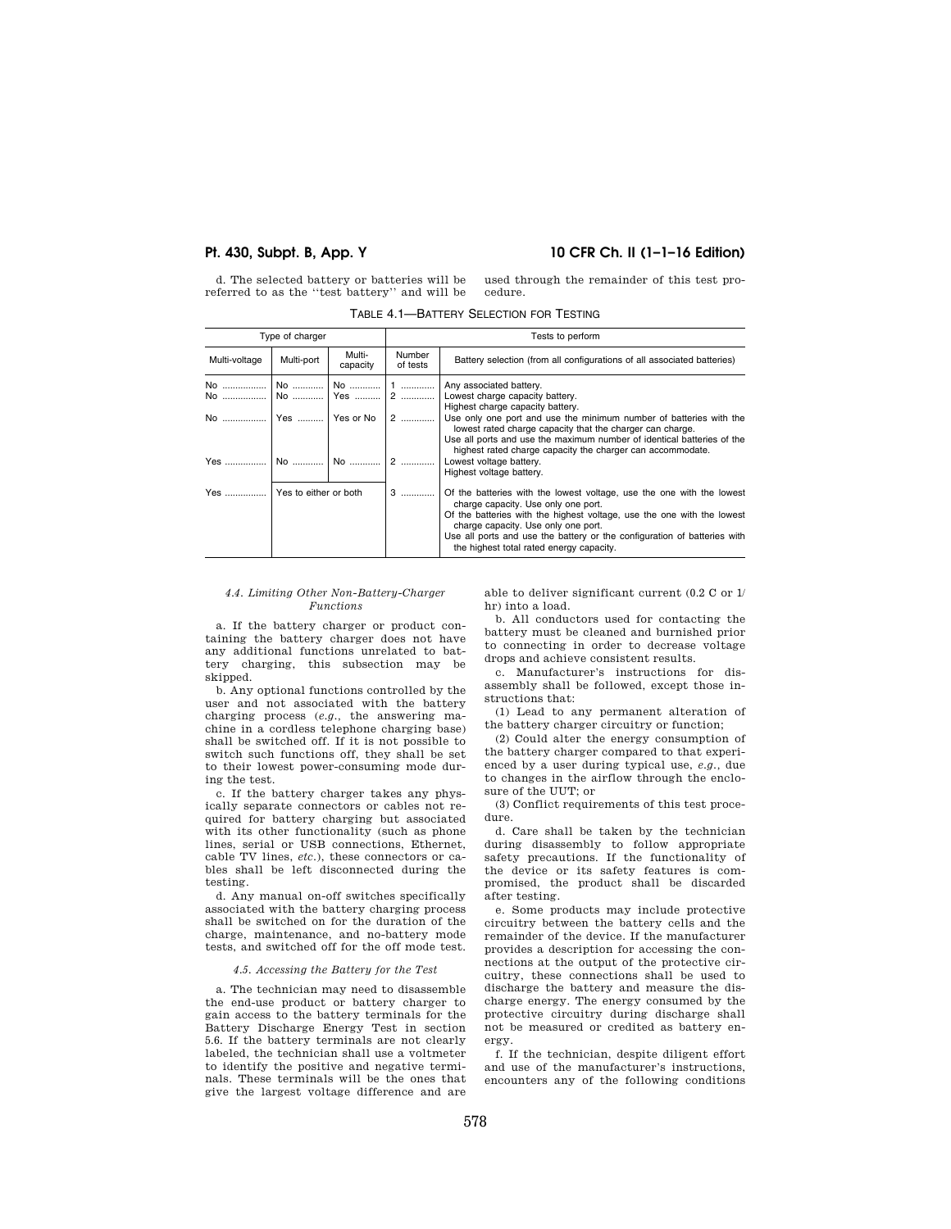# **Pt. 430, Subpt. B, App. Y 10 CFR Ch. II (1–1–16 Edition)**

d. The selected battery or batteries will be referred to as the ''test battery'' and will be used through the remainder of this test procedure.

| TABLE 4.1—BATTERY SELECTION FOR TESTING |  |
|-----------------------------------------|--|
|-----------------------------------------|--|

| Type of charger                          |                       |                    | Tests to perform   |                                                                                                                                                                                                                                                                                                                                                       |  |  |
|------------------------------------------|-----------------------|--------------------|--------------------|-------------------------------------------------------------------------------------------------------------------------------------------------------------------------------------------------------------------------------------------------------------------------------------------------------------------------------------------------------|--|--|
| Multi-voltage                            | Multi-port            | Multi-<br>capacity | Number<br>of tests | Battery selection (from all configurations of all associated batteries)                                                                                                                                                                                                                                                                               |  |  |
| No ………………   No …………   Yes ……….   2 …………. |                       |                    |                    | Any associated battery.<br>Lowest charge capacity battery.<br>Highest charge capacity battery.                                                                                                                                                                                                                                                        |  |  |
| No    Yes    Yes or No   2               |                       |                    |                    | Use only one port and use the minimum number of batteries with the<br>lowest rated charge capacity that the charger can charge.<br>Use all ports and use the maximum number of identical batteries of the<br>highest rated charge capacity the charger can accommodate.                                                                               |  |  |
| Yes                                      |                       | No    No    2      |                    | Lowest voltage battery.<br>Highest voltage battery.                                                                                                                                                                                                                                                                                                   |  |  |
| Yes                                      | Yes to either or both |                    | 3                  | Of the batteries with the lowest voltage, use the one with the lowest<br>charge capacity. Use only one port.<br>Of the batteries with the highest voltage, use the one with the lowest<br>charge capacity. Use only one port.<br>Use all ports and use the battery or the configuration of batteries with<br>the highest total rated energy capacity. |  |  |

## *4.4. Limiting Other Non-Battery-Charger Functions*

a. If the battery charger or product containing the battery charger does not have any additional functions unrelated to battery charging, this subsection may be skipped.

b. Any optional functions controlled by the user and not associated with the battery charging process (*e.g.,* the answering machine in a cordless telephone charging base) shall be switched off. If it is not possible to switch such functions off, they shall be set to their lowest power-consuming mode during the test.

c. If the battery charger takes any physically separate connectors or cables not required for battery charging but associated with its other functionality (such as phone lines, serial or USB connections, Ethernet, cable TV lines, *etc.*), these connectors or cables shall be left disconnected during the testing.

d. Any manual on-off switches specifically associated with the battery charging process shall be switched on for the duration of the charge, maintenance, and no-battery mode tests, and switched off for the off mode test.

# *4.5. Accessing the Battery for the Test*

a. The technician may need to disassemble the end-use product or battery charger to gain access to the battery terminals for the Battery Discharge Energy Test in section 5.6. If the battery terminals are not clearly labeled, the technician shall use a voltmeter to identify the positive and negative terminals. These terminals will be the ones that give the largest voltage difference and are able to deliver significant current (0.2 C or 1/ hr) into a load.

b. All conductors used for contacting the battery must be cleaned and burnished prior to connecting in order to decrease voltage drops and achieve consistent results.

c. Manufacturer's instructions for disassembly shall be followed, except those instructions that:

(1) Lead to any permanent alteration of the battery charger circuitry or function;

(2) Could alter the energy consumption of the battery charger compared to that experienced by a user during typical use, *e.g.,* due to changes in the airflow through the enclosure of the UUT; or

(3) Conflict requirements of this test procedure.

d. Care shall be taken by the technician during disassembly to follow appropriate safety precautions. If the functionality of the device or its safety features is compromised, the product shall be discarded after testing.

e. Some products may include protective circuitry between the battery cells and the remainder of the device. If the manufacturer provides a description for accessing the connections at the output of the protective circuitry, these connections shall be used to discharge the battery and measure the discharge energy. The energy consumed by the protective circuitry during discharge shall not be measured or credited as battery energy.

f. If the technician, despite diligent effort and use of the manufacturer's instructions, encounters any of the following conditions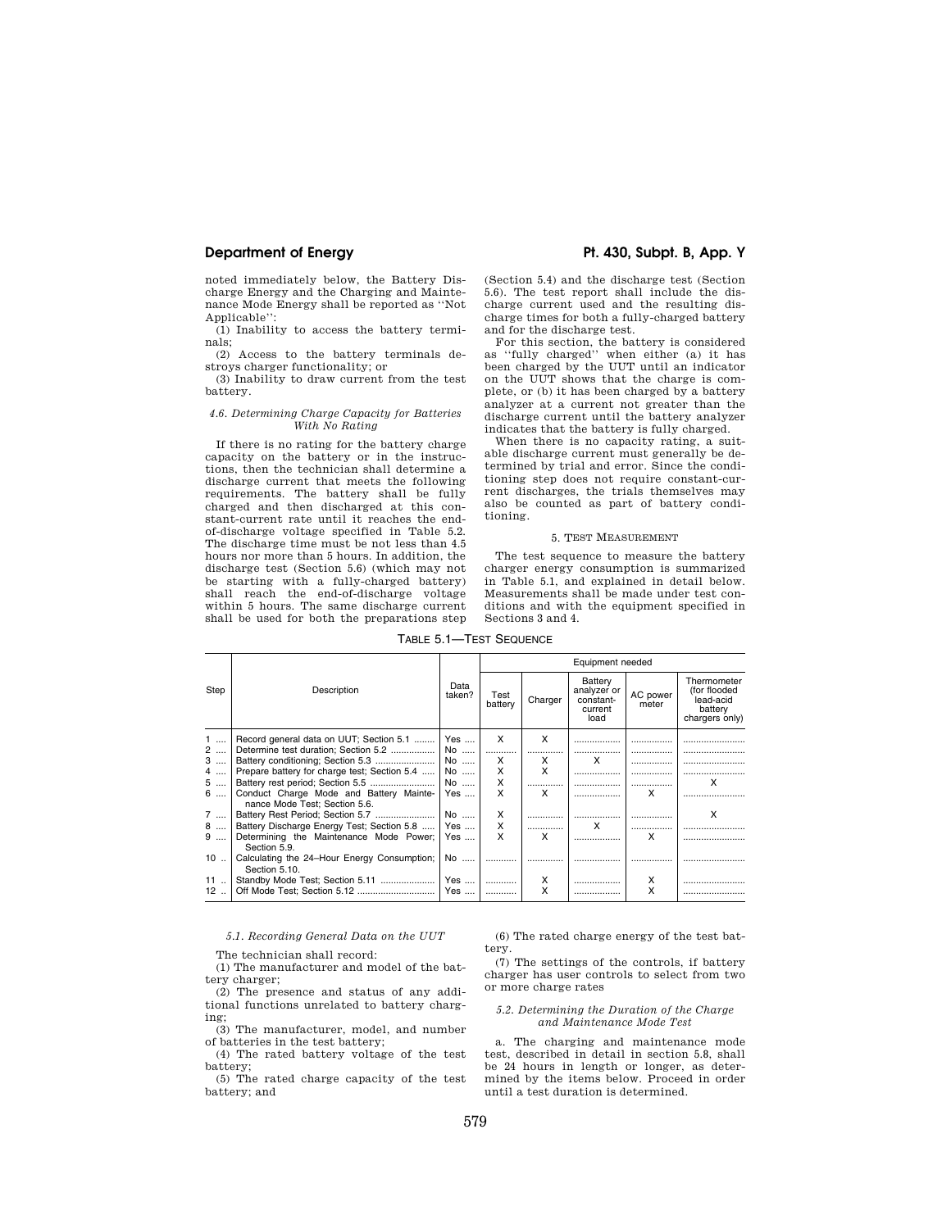noted immediately below, the Battery Discharge Energy and the Charging and Maintenance Mode Energy shall be reported as ''Not Applicable'':

(1) Inability to access the battery terminals;

(2) Access to the battery terminals destroys charger functionality; or

(3) Inability to draw current from the test battery.

#### *4.6. Determining Charge Capacity for Batteries With No Rating*

If there is no rating for the battery charge capacity on the battery or in the instructions, then the technician shall determine a discharge current that meets the following requirements. The battery shall be fully charged and then discharged at this constant-current rate until it reaches the endof-discharge voltage specified in Table 5.2. The discharge time must be not less than 4.5 hours nor more than 5 hours. In addition, the discharge test (Section 5.6) (which may not be starting with a fully-charged battery) shall reach the end-of-discharge voltage within 5 hours. The same discharge current shall be used for both the preparations step

(Section 5.4) and the discharge test (Section 5.6). The test report shall include the discharge current used and the resulting discharge times for both a fully-charged battery and for the discharge test.

For this section, the battery is considered as ''fully charged'' when either (a) it has been charged by the UUT until an indicator on the UUT shows that the charge is complete, or (b) it has been charged by a battery analyzer at a current not greater than the discharge current until the battery analyzer indicates that the battery is fully charged.

When there is no capacity rating, a suitable discharge current must generally be determined by trial and error. Since the conditioning step does not require constant-current discharges, the trials themselves may also be counted as part of battery conditioning.

## 5. TEST MEASUREMENT

The test sequence to measure the battery charger energy consumption is summarized in Table 5.1, and explained in detail below. Measurements shall be made under test conditions and with the equipment specified in Sections 3 and 4.

# TABLE 5.1—TEST SEQUENCE

|      |                                                                          |                | Equipment needed |         |                                                        |                   |                                                                       |
|------|--------------------------------------------------------------------------|----------------|------------------|---------|--------------------------------------------------------|-------------------|-----------------------------------------------------------------------|
| Step | Description                                                              | Data<br>taken? | Test<br>battery  | Charger | Battery<br>analyzer or<br>constant-<br>current<br>load | AC power<br>meter | Thermometer<br>(for flooded<br>lead-acid<br>battery<br>chargers only) |
| 1    | Record general data on UUT; Section 5.1                                  | Yes            | x                | x       |                                                        |                   |                                                                       |
| 2    | Determine test duration; Section 5.2                                     | No             |                  |         | .                                                      |                   |                                                                       |
| $3$  |                                                                          | No             | x                | x       | x                                                      |                   |                                                                       |
| 4    | Prepare battery for charge test; Section 5.4                             | No             | x                | x       |                                                        |                   |                                                                       |
| 5    |                                                                          | No             | x                |         |                                                        |                   | x                                                                     |
| 6    | Conduct Charge Mode and Battery Mainte-<br>nance Mode Test: Section 5.6. | $Yes$          | x                | X       |                                                        | x                 |                                                                       |
| 7    | Battery Rest Period; Section 5.7                                         | No             | x                |         |                                                        |                   | x                                                                     |
| 8    | Battery Discharge Energy Test; Section 5.8                               | Yes            | x                |         | x                                                      |                   |                                                                       |
| 9    | Determining the Maintenance Mode Power;<br>Section 5.9.                  | Yes            | x                | x       |                                                        | x                 |                                                                       |
| 10   | Calculating the 24-Hour Energy Consumption;<br>Section 5.10.             | No             |                  |         |                                                        |                   |                                                                       |
| 11   |                                                                          |                |                  | X       | .                                                      | x                 |                                                                       |
| 12   |                                                                          | Yes            |                  | x       |                                                        | x                 |                                                                       |

*5.1. Recording General Data on the UUT* 

The technician shall record:

(1) The manufacturer and model of the battery charger;

(2) The presence and status of any additional functions unrelated to battery charging;

(3) The manufacturer, model, and number of batteries in the test battery;

(4) The rated battery voltage of the test battery;

(5) The rated charge capacity of the test battery; and

(6) The rated charge energy of the test battery.

(7) The settings of the controls, if battery charger has user controls to select from two or more charge rates

## *5.2. Determining the Duration of the Charge and Maintenance Mode Test*

a. The charging and maintenance mode test, described in detail in section 5.8, shall be 24 hours in length or longer, as determined by the items below. Proceed in order until a test duration is determined.

# **Department of Energy Pt. 430, Subpt. B, App. Y**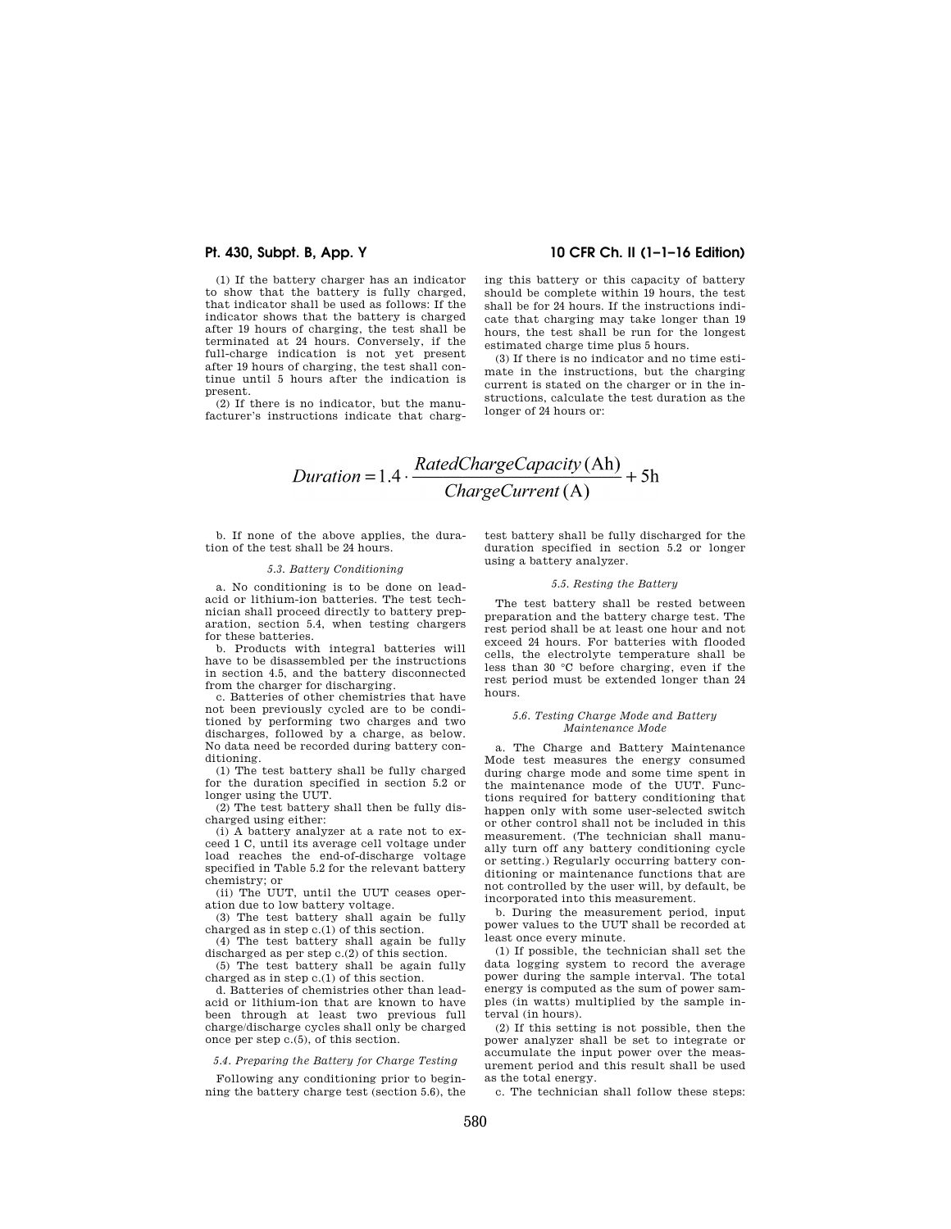(1) If the battery charger has an indicator to show that the battery is fully charged, that indicator shall be used as follows: If the indicator shows that the battery is charged after 19 hours of charging, the test shall be terminated at 24 hours. Conversely, if the full-charge indication is not yet present after 19 hours of charging, the test shall continue until 5 hours after the indication is present.

(2) If there is no indicator, but the manufacturer's instructions indicate that charg-

# **Pt. 430, Subpt. B, App. Y 10 CFR Ch. II (1–1–16 Edition)**

ing this battery or this capacity of battery should be complete within 19 hours, the test shall be for 24 hours. If the instructions indicate that charging may take longer than 19 hours, the test shall be run for the longest estimated charge time plus 5 hours.

(3) If there is no indicator and no time estimate in the instructions, but the charging current is stated on the charger or in the instructions, calculate the test duration as the longer of 24 hours or:

# Duration = 1.4  $\cdot \frac{RatedChangeCapacity(\text{Ah})}{ChargeCurrent(\text{A})} + 5\text{h}$

b. If none of the above applies, the duration of the test shall be 24 hours.

## *5.3. Battery Conditioning*

a. No conditioning is to be done on leadacid or lithium-ion batteries. The test technician shall proceed directly to battery preparation, section 5.4, when testing chargers for these batteries.

b. Products with integral batteries will have to be disassembled per the instructions in section 4.5, and the battery disconnected from the charger for discharging.

c. Batteries of other chemistries that have not been previously cycled are to be conditioned by performing two charges and two discharges, followed by a charge, as below. No data need be recorded during battery conditioning.

(1) The test battery shall be fully charged for the duration specified in section 5.2 or longer using the UUT.

(2) The test battery shall then be fully discharged using either:

(i) A battery analyzer at a rate not to exceed 1 C, until its average cell voltage under load reaches the end-of-discharge voltage specified in Table 5.2 for the relevant battery chemistry; or

(ii) The UUT, until the UUT ceases operation due to low battery voltage.

(3) The test battery shall again be fully charged as in step c.(1) of this section.

(4) The test battery shall again be fully discharged as per step c.(2) of this section. (5) The test battery shall be again fully

charged as in step c.(1) of this section.

d. Batteries of chemistries other than leadacid or lithium-ion that are known to have been through at least two previous full charge/discharge cycles shall only be charged once per step c.(5), of this section.

# *5.4. Preparing the Battery for Charge Testing*

Following any conditioning prior to beginning the battery charge test (section 5.6), the

test battery shall be fully discharged for the duration specified in section 5.2 or longer using a battery analyzer.

#### *5.5. Resting the Battery*

The test battery shall be rested between preparation and the battery charge test. The rest period shall be at least one hour and not exceed 24 hours. For batteries with flooded cells, the electrolyte temperature shall be less than 30 °C before charging, even if the rest period must be extended longer than 24 hours.

## *5.6. Testing Charge Mode and Battery Maintenance Mode*

a. The Charge and Battery Maintenance Mode test measures the energy consumed during charge mode and some time spent in the maintenance mode of the UUT. Functions required for battery conditioning that happen only with some user-selected switch or other control shall not be included in this measurement. (The technician shall manually turn off any battery conditioning cycle or setting.) Regularly occurring battery conditioning or maintenance functions that are not controlled by the user will, by default, be incorporated into this measurement.

b. During the measurement period, input power values to the UUT shall be recorded at least once every minute.

(1) If possible, the technician shall set the data logging system to record the average power during the sample interval. The total energy is computed as the sum of power samples (in watts) multiplied by the sample interval (in hours).

(2) If this setting is not possible, then the power analyzer shall be set to integrate or accumulate the input power over the measurement period and this result shall be used as the total energy.

c. The technician shall follow these steps: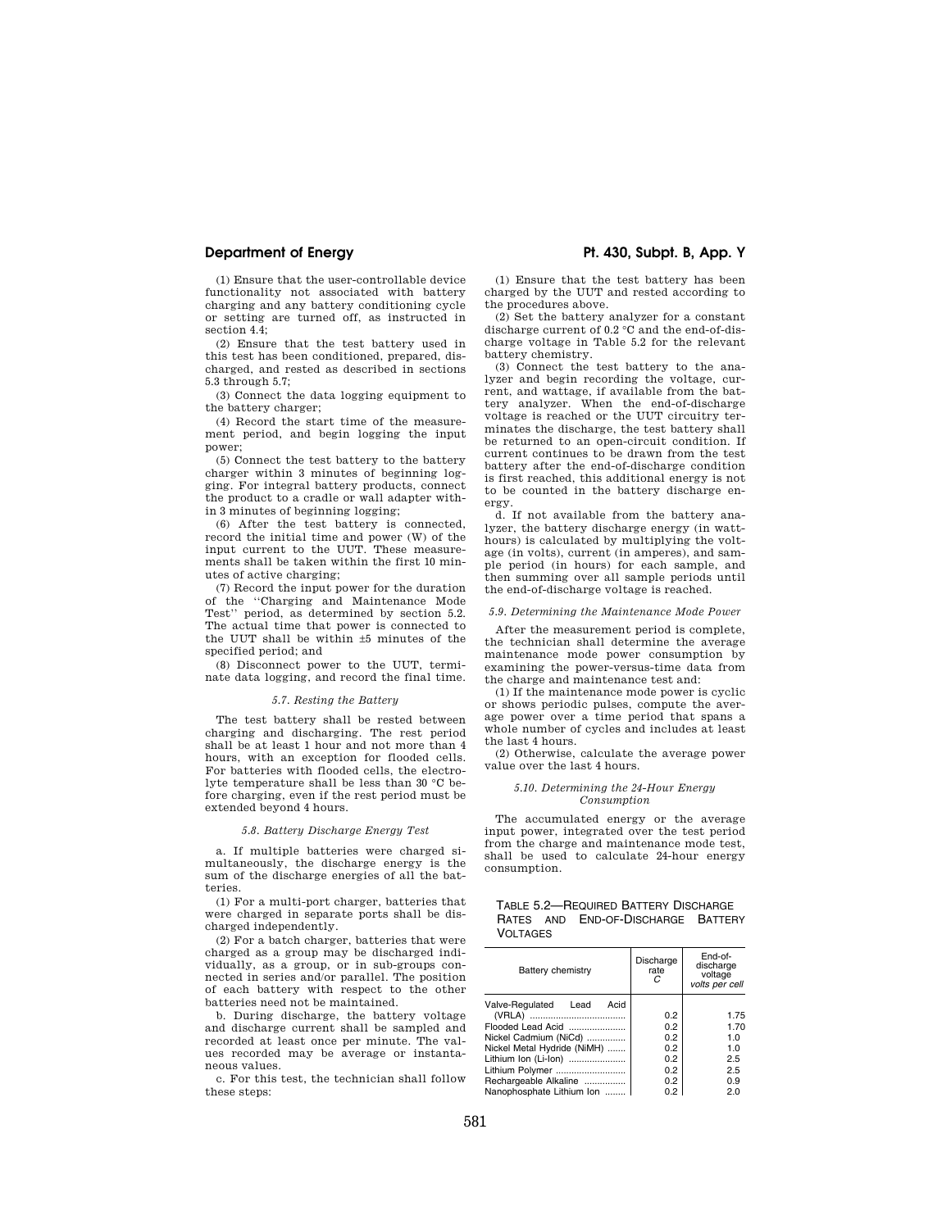(1) Ensure that the user-controllable device functionality not associated with battery charging and any battery conditioning cycle or setting are turned off, as instructed in section 4.4;

(2) Ensure that the test battery used in this test has been conditioned, prepared, discharged, and rested as described in sections 5.3 through 5.7;

(3) Connect the data logging equipment to the battery charger;

(4) Record the start time of the measurement period, and begin logging the input power;

(5) Connect the test battery to the battery charger within 3 minutes of beginning logging. For integral battery products, connect the product to a cradle or wall adapter within 3 minutes of beginning logging;

(6) After the test battery is connected, record the initial time and power (W) of the input current to the UUT. These measurements shall be taken within the first 10 minutes of active charging;

(7) Record the input power for the duration of the ''Charging and Maintenance Mode Test'' period, as determined by section 5.2. The actual time that power is connected to the UUT shall be within ±5 minutes of the specified period; and

(8) Disconnect power to the UUT, terminate data logging, and record the final time.

#### *5.7. Resting the Battery*

The test battery shall be rested between charging and discharging. The rest period shall be at least 1 hour and not more than 4 hours, with an exception for flooded cells. For batteries with flooded cells, the electrolyte temperature shall be less than 30 °C before charging, even if the rest period must be extended beyond 4 hours.

#### *5.8. Battery Discharge Energy Test*

a. If multiple batteries were charged simultaneously, the discharge energy is the sum of the discharge energies of all the batteries.

(1) For a multi-port charger, batteries that were charged in separate ports shall be discharged independently.

(2) For a batch charger, batteries that were charged as a group may be discharged individually, as a group, or in sub-groups connected in series and/or parallel. The position of each battery with respect to the other batteries need not be maintained.

b. During discharge, the battery voltage and discharge current shall be sampled and recorded at least once per minute. The values recorded may be average or instantaneous values.

c. For this test, the technician shall follow these steps:

# **Department of Energy Pt. 430, Subpt. B, App. Y**

(1) Ensure that the test battery has been charged by the UUT and rested according to the procedures above.

(2) Set the battery analyzer for a constant discharge current of 0.2 °C and the end-of-discharge voltage in Table 5.2 for the relevant battery chemistry.

(3) Connect the test battery to the analyzer and begin recording the voltage, current, and wattage, if available from the battery analyzer. When the end-of-discharge voltage is reached or the UUT circuitry terminates the discharge, the test battery shall be returned to an open-circuit condition. If current continues to be drawn from the test battery after the end-of-discharge condition is first reached, this additional energy is not to be counted in the battery discharge energy.

d. If not available from the battery analyzer, the battery discharge energy (in watthours) is calculated by multiplying the voltage (in volts), current (in amperes), and sample period (in hours) for each sample, and then summing over all sample periods until the end-of-discharge voltage is reached.

### *5.9. Determining the Maintenance Mode Power*

After the measurement period is complete, the technician shall determine the average maintenance mode power consumption by examining the power-versus-time data from the charge and maintenance test and:

(1) If the maintenance mode power is cyclic or shows periodic pulses, compute the average power over a time period that spans a whole number of cycles and includes at least the last 4 hours.

(2) Otherwise, calculate the average power value over the last 4 hours.

#### *5.10. Determining the 24-Hour Energy Consumption*

The accumulated energy or the average input power, integrated over the test period from the charge and maintenance mode test, shall be used to calculate 24-hour energy consumption.

# TABLE 5.2—REQUIRED BATTERY DISCHARGE RATES AND END-OF-DISCHARGE BATTERY **VOLTAGES**

| Battery chemistry            | Discharge<br>rate<br>C | End-of-<br>discharge<br>voltage<br>volts per cell |
|------------------------------|------------------------|---------------------------------------------------|
| Valve-Regulated Lead<br>Acid |                        |                                                   |
|                              | 0.2                    | 1.75                                              |
| Flooded Lead Acid            | 0.2                    | 1.70                                              |
| Nickel Cadmium (NiCd)        | 0.2                    | 1.0                                               |
| Nickel Metal Hydride (NiMH)  | 0.2                    | 1.0                                               |
| Lithium Ion (Li-Ion)         | 0.2                    | 2.5                                               |
| Lithium Polymer              | 0.2                    | 2.5                                               |
| Rechargeable Alkaline        | 0.2                    | 0.9                                               |
| Nanophosphate Lithium Ion    | 0.2                    | 2.0                                               |